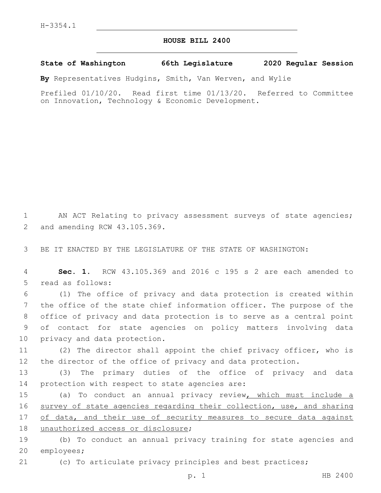## **HOUSE BILL 2400**

## **State of Washington 66th Legislature 2020 Regular Session**

**By** Representatives Hudgins, Smith, Van Werven, and Wylie

Prefiled 01/10/20. Read first time 01/13/20. Referred to Committee on Innovation, Technology & Economic Development.

1 AN ACT Relating to privacy assessment surveys of state agencies; 2 and amending RCW 43.105.369.

3 BE IT ENACTED BY THE LEGISLATURE OF THE STATE OF WASHINGTON:

4 **Sec. 1.** RCW 43.105.369 and 2016 c 195 s 2 are each amended to 5 read as follows:

 (1) The office of privacy and data protection is created within the office of the state chief information officer. The purpose of the office of privacy and data protection is to serve as a central point of contact for state agencies on policy matters involving data 10 privacy and data protection.

11 (2) The director shall appoint the chief privacy officer, who is 12 the director of the office of privacy and data protection.

13 (3) The primary duties of the office of privacy and data 14 protection with respect to state agencies are:

15 (a) To conduct an annual privacy review, which must include a 16 survey of state agencies regarding their collection, use, and sharing 17 of data, and their use of security measures to secure data against 18 unauthorized access or disclosure;

19 (b) To conduct an annual privacy training for state agencies and 20 employees;

21 (c) To articulate privacy principles and best practices;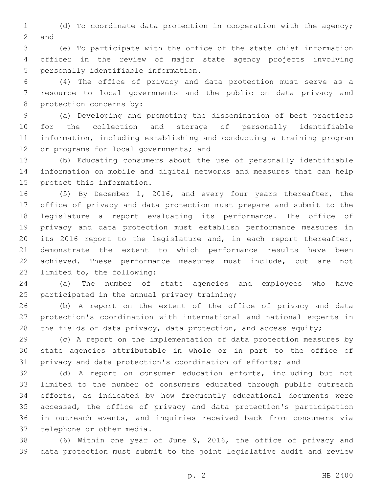(d) To coordinate data protection in cooperation with the agency; 2 and

 (e) To participate with the office of the state chief information officer in the review of major state agency projects involving 5 personally identifiable information.

 (4) The office of privacy and data protection must serve as a resource to local governments and the public on data privacy and 8 protection concerns by:

 (a) Developing and promoting the dissemination of best practices for the collection and storage of personally identifiable information, including establishing and conducting a training program 12 or programs for local governments; and

 (b) Educating consumers about the use of personally identifiable information on mobile and digital networks and measures that can help 15 protect this information.

 (5) By December 1, 2016, and every four years thereafter, the office of privacy and data protection must prepare and submit to the legislature a report evaluating its performance. The office of privacy and data protection must establish performance measures in its 2016 report to the legislature and, in each report thereafter, demonstrate the extent to which performance results have been achieved. These performance measures must include, but are not 23 limited to, the following:

 (a) The number of state agencies and employees who have 25 participated in the annual privacy training;

 (b) A report on the extent of the office of privacy and data protection's coordination with international and national experts in 28 the fields of data privacy, data protection, and access equity;

 (c) A report on the implementation of data protection measures by state agencies attributable in whole or in part to the office of privacy and data protection's coordination of efforts; and

 (d) A report on consumer education efforts, including but not limited to the number of consumers educated through public outreach efforts, as indicated by how frequently educational documents were accessed, the office of privacy and data protection's participation in outreach events, and inquiries received back from consumers via 37 telephone or other media.

 (6) Within one year of June 9, 2016, the office of privacy and data protection must submit to the joint legislative audit and review